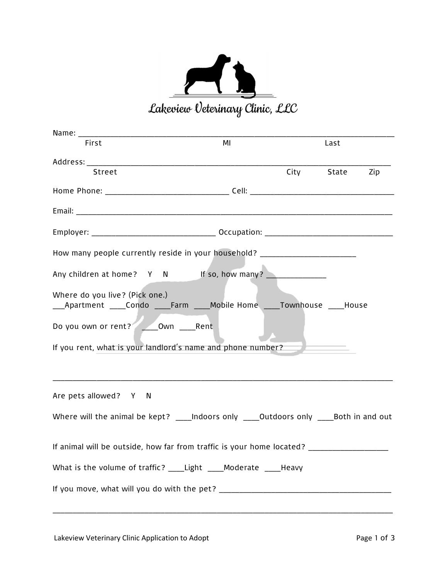

| Name: Name:                                                                                                  |    |  |                |  |
|--------------------------------------------------------------------------------------------------------------|----|--|----------------|--|
| First                                                                                                        | MI |  | Last           |  |
|                                                                                                              |    |  |                |  |
| Street                                                                                                       |    |  | City State Zip |  |
|                                                                                                              |    |  |                |  |
|                                                                                                              |    |  |                |  |
|                                                                                                              |    |  |                |  |
| How many people currently reside in your household? ____________________________                             |    |  |                |  |
| Any children at home? Y N If so, how many?                                                                   |    |  |                |  |
| Where do you live? (Pick one.)<br>_Apartment _____Condo _____Farm _____Mobile Home _____Townhouse _____House |    |  |                |  |
| Do you own or rent? <u>Jown</u> ____ Rent                                                                    |    |  |                |  |
| If you rent, what is your landlord's name and phone number?                                                  |    |  |                |  |
| Are pets allowed? Y N                                                                                        |    |  |                |  |
| Where will the animal be kept? _____Indoors only _____Outdoors only _____Both in and out                     |    |  |                |  |
| If animal will be outside, how far from traffic is your home located?                                        |    |  |                |  |
| What is the volume of traffic? _____Light _____Moderate _____Heavy                                           |    |  |                |  |
|                                                                                                              |    |  |                |  |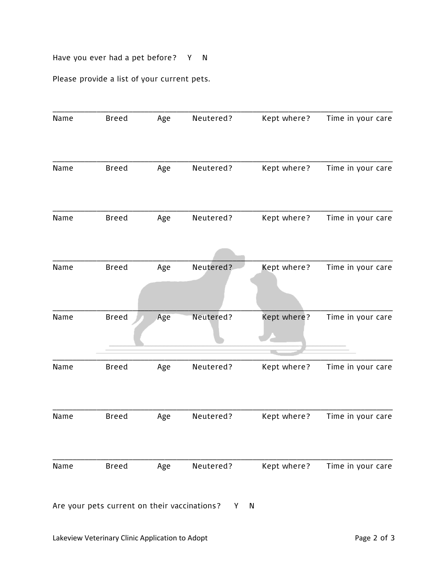## Have you ever had a pet before? Y N

Please provide a list of your current pets.

| Name | <b>Breed</b> | Age | Neutered? | Kept where? | Time in your care |
|------|--------------|-----|-----------|-------------|-------------------|
| Name | <b>Breed</b> | Age | Neutered? | Kept where? | Time in your care |
| Name | <b>Breed</b> | Age | Neutered? | Kept where? | Time in your care |
|      |              |     |           |             |                   |
| Name | <b>Breed</b> | Age | Neutered? | Kept where? | Time in your care |
| Name | <b>Breed</b> | Age | Neutered? | Kept where? | Time in your care |
|      |              |     |           |             |                   |
| Name | <b>Breed</b> | Age | Neutered? | Kept where? | Time in your care |
| Name | <b>Breed</b> | Age | Neutered? | Kept where? | Time in your care |
|      |              |     |           |             |                   |
| Name | <b>Breed</b> | Age | Neutered? | Kept where? | Time in your care |
|      |              |     |           |             |                   |

Are your pets current on their vaccinations? Y N